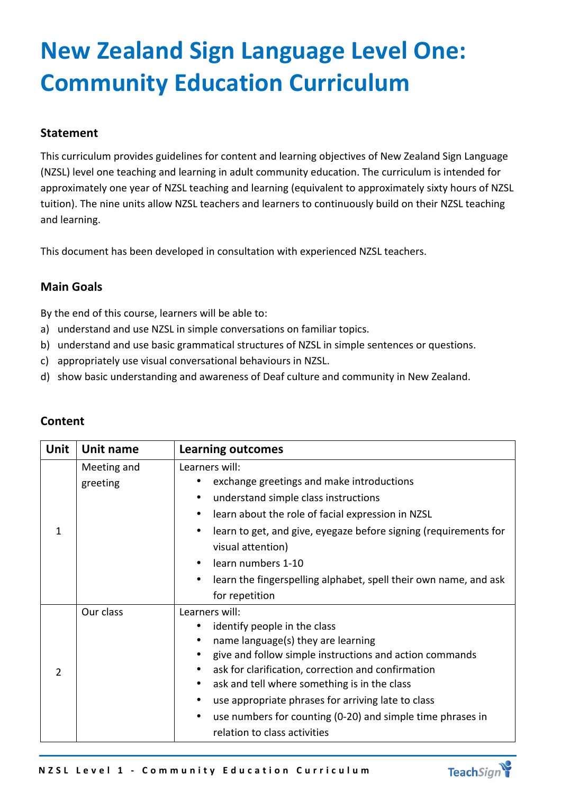# **New Zealand Sign Language Level One: Community Education Curriculum**

## **Statement**

This curriculum provides guidelines for content and learning objectives of New Zealand Sign Language (NZSL) level one teaching and learning in adult community education. The curriculum is intended for approximately one year of NZSL teaching and learning (equivalent to approximately sixty hours of NZSL tuition). The nine units allow NZSL teachers and learners to continuously build on their NZSL teaching and learning.

This document has been developed in consultation with experienced NZSL teachers.

## **Main Goals**

By the end of this course, learners will be able to:

- a) understand and use NZSL in simple conversations on familiar topics.
- b) understand and use basic grammatical structures of NZSL in simple sentences or questions.
- c) appropriately use visual conversational behaviours in NZSL.
- d) show basic understanding and awareness of Deaf culture and community in New Zealand.

| <b>Unit</b>   | Unit name               | <b>Learning outcomes</b>                                                                                                                                                                                                                                                                                                                                                                                  |
|---------------|-------------------------|-----------------------------------------------------------------------------------------------------------------------------------------------------------------------------------------------------------------------------------------------------------------------------------------------------------------------------------------------------------------------------------------------------------|
| $\mathbf{1}$  | Meeting and<br>greeting | Learners will:<br>exchange greetings and make introductions<br>understand simple class instructions<br>learn about the role of facial expression in NZSL<br>٠<br>learn to get, and give, eyegaze before signing (requirements for<br>visual attention)<br>learn numbers 1-10<br>$\bullet$<br>learn the fingerspelling alphabet, spell their own name, and ask<br>$\bullet$<br>for repetition              |
| $\mathcal{P}$ | Our class               | Learners will:<br>identify people in the class<br>name language(s) they are learning<br>give and follow simple instructions and action commands<br>ask for clarification, correction and confirmation<br>ask and tell where something is in the class<br>use appropriate phrases for arriving late to class<br>use numbers for counting (0-20) and simple time phrases in<br>relation to class activities |

# **Content**

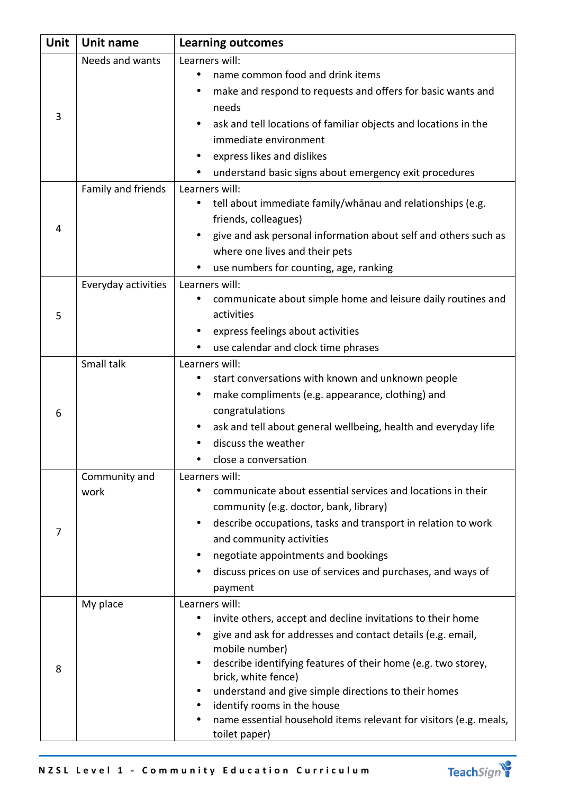| <b>Unit</b> | Unit name           | <b>Learning outcomes</b>                                                             |
|-------------|---------------------|--------------------------------------------------------------------------------------|
| 3           | Needs and wants     | Learners will:                                                                       |
|             |                     | name common food and drink items                                                     |
|             |                     | make and respond to requests and offers for basic wants and                          |
|             |                     | needs                                                                                |
|             |                     | ask and tell locations of familiar objects and locations in the                      |
|             |                     | immediate environment                                                                |
|             |                     | express likes and dislikes                                                           |
|             |                     | understand basic signs about emergency exit procedures                               |
| 4           | Family and friends  | Learners will:                                                                       |
|             |                     | tell about immediate family/whanau and relationships (e.g.                           |
|             |                     | friends, colleagues)                                                                 |
|             |                     | give and ask personal information about self and others such as                      |
|             |                     | where one lives and their pets                                                       |
|             |                     | use numbers for counting, age, ranking                                               |
|             | Everyday activities | Learners will:                                                                       |
|             |                     | communicate about simple home and leisure daily routines and<br>٠                    |
| 5           |                     | activities                                                                           |
|             |                     | express feelings about activities                                                    |
|             |                     | use calendar and clock time phrases                                                  |
|             | Small talk          | Learners will:                                                                       |
|             |                     | start conversations with known and unknown people                                    |
|             |                     | make compliments (e.g. appearance, clothing) and<br>٠                                |
| 6           |                     | congratulations                                                                      |
|             |                     | ask and tell about general wellbeing, health and everyday life                       |
|             |                     | discuss the weather                                                                  |
|             |                     | close a conversation                                                                 |
|             | Community and       | Learners will:                                                                       |
|             | work                | communicate about essential services and locations in their                          |
|             |                     | community (e.g. doctor, bank, library)                                               |
| 7           |                     | describe occupations, tasks and transport in relation to work                        |
|             |                     | and community activities                                                             |
|             |                     | negotiate appointments and bookings                                                  |
|             |                     | discuss prices on use of services and purchases, and ways of                         |
|             |                     | payment                                                                              |
|             | My place            | Learners will:                                                                       |
|             |                     | invite others, accept and decline invitations to their home                          |
| 8           |                     | give and ask for addresses and contact details (e.g. email,                          |
|             |                     | mobile number)                                                                       |
|             |                     | describe identifying features of their home (e.g. two storey,<br>brick, white fence) |
|             |                     | understand and give simple directions to their homes                                 |
|             |                     | identify rooms in the house                                                          |
|             |                     | name essential household items relevant for visitors (e.g. meals,                    |
|             |                     | toilet paper)                                                                        |